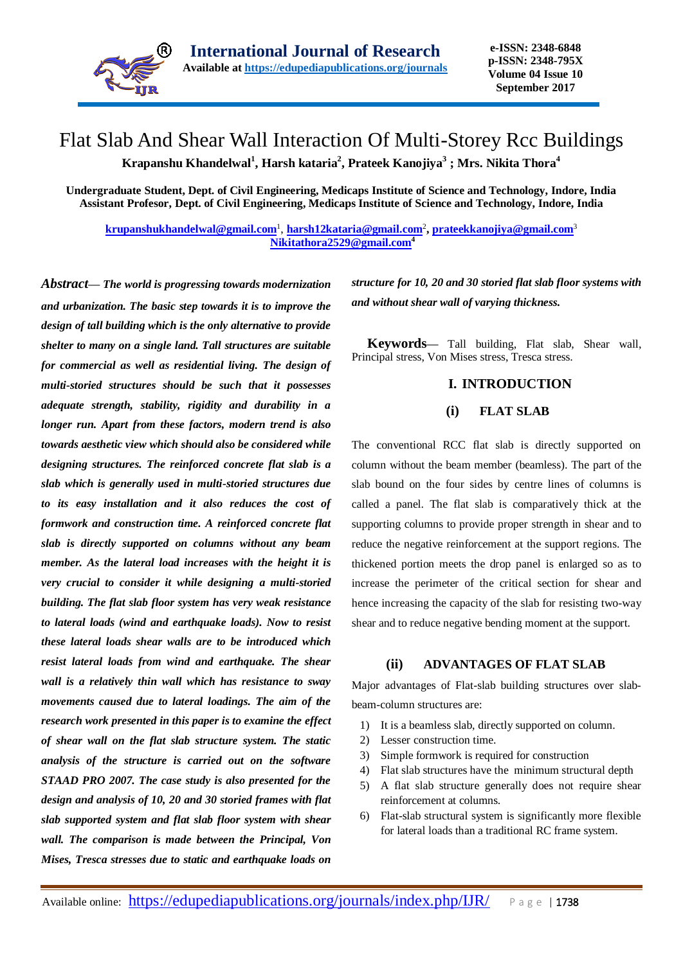

# Flat Slab And Shear Wall Interaction Of Multi-Storey Rcc Buildings

**Krapanshu Khandelwal<sup>1</sup> , Harsh kataria<sup>2</sup> , Prateek Kanojiya<sup>3</sup> ; Mrs. Nikita Thora<sup>4</sup>**

**Undergraduate Student, Dept. of Civil Engineering, Medicaps Institute of Science and Technology, Indore, India Assistant Profesor, Dept. of Civil Engineering, Medicaps Institute of Science and Technology, Indore, India**

**[krupanshukhandelwal@gmail.com](mailto:krupanshukhandelwal@gmail.com)**<sup>1</sup> , **[harsh12kataria@gmail.com](mailto:harsh12kataria@gmail.com)**<sup>2</sup> **, [prateekkanojiya@gmail.com](mailto:prateekkanojiya@gmail.com)**<sup>3</sup> **[Nikitathora2529@gmail.com](mailto:Nikitathora2529@gmail.com)<sup>4</sup>**

*Abstract— The world is progressing towards modernization and urbanization. The basic step towards it is to improve the design of tall building which is the only alternative to provide shelter to many on a single land. Tall structures are suitable for commercial as well as residential living. The design of multi-storied structures should be such that it possesses adequate strength, stability, rigidity and durability in a longer run. Apart from these factors, modern trend is also towards aesthetic view which should also be considered while designing structures. The reinforced concrete flat slab is a slab which is generally used in multi-storied structures due to its easy installation and it also reduces the cost of formwork and construction time. A reinforced concrete flat slab is directly supported on columns without any beam member. As the lateral load increases with the height it is very crucial to consider it while designing a multi-storied building. The flat slab floor system has very weak resistance to lateral loads (wind and earthquake loads). Now to resist these lateral loads shear walls are to be introduced which resist lateral loads from wind and earthquake. The shear wall is a relatively thin wall which has resistance to sway movements caused due to lateral loadings. The aim of the research work presented in this paper is to examine the effect of shear wall on the flat slab structure system. The static analysis of the structure is carried out on the software STAAD PRO 2007. The case study is also presented for the design and analysis of 10, 20 and 30 storied frames with flat slab supported system and flat slab floor system with shear wall. The comparison is made between the Principal, Von Mises, Tresca stresses due to static and earthquake loads on* 

*structure for 10, 20 and 30 storied flat slab floor systems with and without shear wall of varying thickness.*

**Keywords—** Tall building, Flat slab, Shear wall, Principal stress, Von Mises stress, Tresca stress.

# **I. INTRODUCTION**

### **(i) FLAT SLAB**

The conventional RCC flat slab is directly supported on column without the beam member (beamless). The part of the slab bound on the four sides by centre lines of columns is called a panel. The flat slab is comparatively thick at the supporting columns to provide proper strength in shear and to reduce the negative reinforcement at the support regions. The thickened portion meets the drop panel is enlarged so as to increase the perimeter of the critical section for shear and hence increasing the capacity of the slab for resisting two-way shear and to reduce negative bending moment at the support.

#### **(ii) ADVANTAGES OF FLAT SLAB**

Major advantages of Flat-slab building structures over slabbeam-column structures are:

- 1) It is a beamless slab, directly supported on column.
- 2) Lesser construction time.
- 3) Simple formwork is required for construction
- 4) Flat slab structures have the minimum structural depth
- 5) A flat slab structure generally does not require shear reinforcement at columns.
- 6) Flat-slab structural system is significantly more flexible for lateral loads than a traditional RC frame system.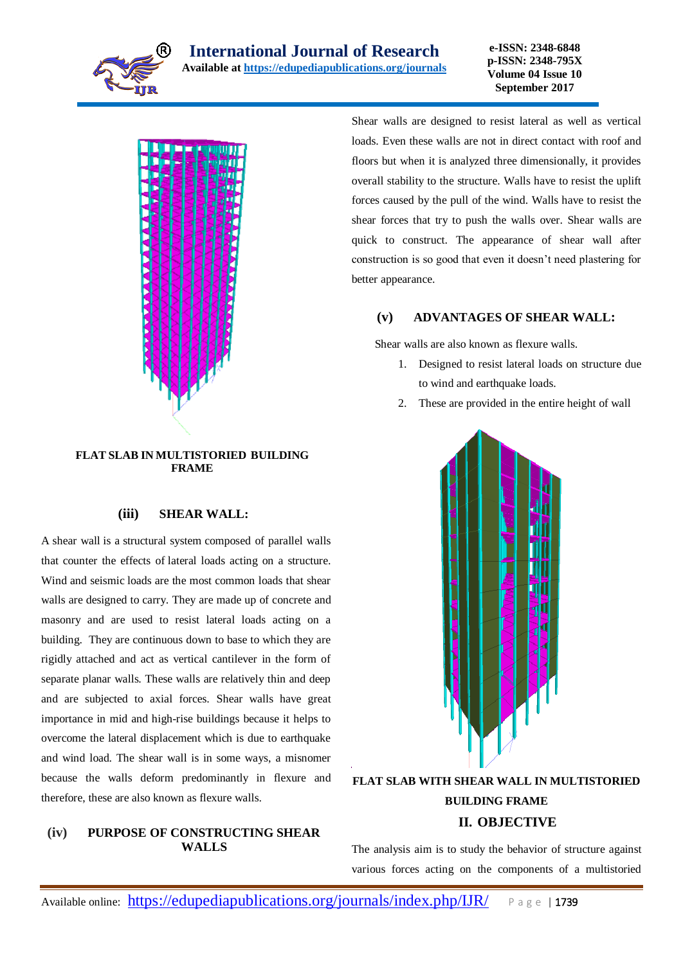



#### **FLAT SLAB IN MULTISTORIED BUILDING FRAME**

#### **(iii) SHEAR WALL:**

A shear wall is a structural system composed of parallel walls that counter the effects of lateral loads acting on a structure. Wind and seismic loads are the most common loads that shear walls are designed to carry. They are made up of concrete and masonry and are used to resist lateral loads acting on a building. They are continuous down to base to which they are rigidly attached and act as vertical cantilever in the form of separate planar walls. These walls are relatively thin and deep and are subjected to axial forces. Shear walls have great importance in mid and high-rise buildings because it helps to overcome the lateral displacement which is due to earthquake and wind load. The shear wall is in some ways, a misnomer because the walls deform predominantly in flexure and therefore, these are also known as flexure walls.

#### **(iv) PURPOSE OF CONSTRUCTING SHEAR WALLS**

Shear walls are designed to resist lateral as well as vertical loads. Even these walls are not in direct contact with roof and floors but when it is analyzed three dimensionally, it provides overall stability to the structure. Walls have to resist the uplift forces caused by the pull of the wind. Walls have to resist the shear forces that try to push the walls over. Shear walls are quick to construct. The appearance of shear wall after construction is so good that even it doesn't need plastering for better appearance.

# **(v) ADVANTAGES OF SHEAR WALL:**

Shear walls are also known as flexure walls.

- 1. Designed to resist lateral loads on structure due to wind and earthquake loads.
- 2. These are provided in the entire height of wall



# **FLAT SLAB WITH SHEAR WALL IN MULTISTORIED BUILDING FRAME II. OBJECTIVE**

The analysis aim is to study the behavior of structure against various forces acting on the components of a multistoried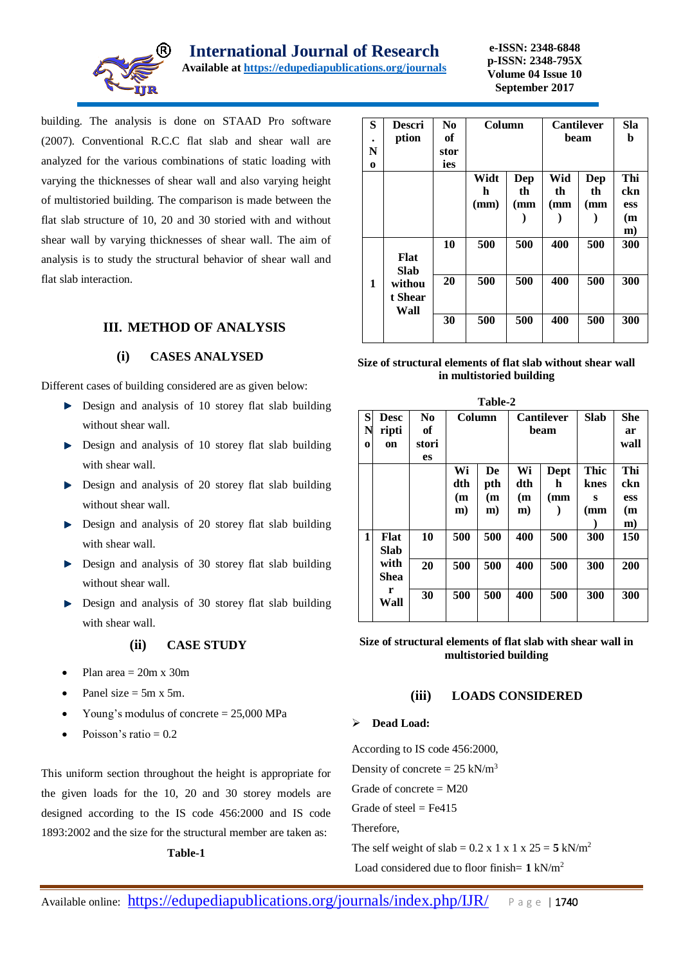

building. The analysis is done on STAAD Pro software (2007). Conventional R.C.C flat slab and shear wall are analyzed for the various combinations of static loading with varying the thicknesses of shear wall and also varying height of multistoried building. The comparison is made between the flat slab structure of 10, 20 and 30 storied with and without shear wall by varying thicknesses of shear wall. The aim of analysis is to study the structural behavior of shear wall and flat slab interaction.

# **III. METHOD OF ANALYSIS**

#### **(i) CASES ANALYSED**

Different cases of building considered are as given below:

- Design and analysis of 10 storey flat slab building without shear wall.
- Design and analysis of 10 storey flat slab building with shear wall.
- $\blacktriangleright$  Design and analysis of 20 storey flat slab building without shear wall.
- $\blacktriangleright$  Design and analysis of 20 storey flat slab building with shear wall.
- Design and analysis of 30 storey flat slab building without shear wall.
- Design and analysis of 30 storey flat slab building with shear wall.

# **(ii) CASE STUDY**

- Plan area  $= 20m \times 30m$
- Panel size  $= 5m \times 5m$ .
- Young's modulus of concrete = 25,000 MPa
- Poisson's ratio  $= 0.2$

This uniform section throughout the height is appropriate for the given loads for the 10, 20 and 30 storey models are designed according to the IS code 456:2000 and IS code 1893:2002 and the size for the structural member are taken as: **Table-1**

#### **S . N o Descri ption No of stor ies Column Cantilever beam Sla b Widt h (mm) Dep th (mm ) Wid th (mm ) Dep th (mm ) Thi ckn ess (m m) 1 Flat Slab withou t Shear Wall 10 500 500 400 500 300 20 500 500 400 500 300 30 500 500 400 500 300**

**Size of structural elements of flat slab without shear wall in multistoried building**

| Table-2     |                             |                                      |                                  |                        |                                  |                   |                          |                               |  |  |
|-------------|-----------------------------|--------------------------------------|----------------------------------|------------------------|----------------------------------|-------------------|--------------------------|-------------------------------|--|--|
| S<br>N<br>0 | <b>Desc</b><br>ripti<br>on  | $\bf No$<br>of<br>stori<br><b>es</b> | Column                           |                        | <b>Cantilever</b><br>beam        |                   | <b>Slab</b>              | <b>She</b><br>ar<br>wall      |  |  |
|             |                             |                                      | Wi<br>dth<br>(m)<br>$\mathbf{m}$ | De<br>pth<br>(m)<br>m) | Wi<br>dth<br>(m)<br>$\mathbf{m}$ | Dept<br>h.<br>(mm | Thic<br>knes<br>s<br>(mm | Thi<br>ckn<br>ess<br>(m<br>m) |  |  |
| 1           | Flat<br><b>Slab</b><br>with | 10<br>20                             | 500<br>500                       | 500<br>500             | 400<br>400                       | 500<br>500        | 300<br>300               | 150<br>200                    |  |  |
|             | <b>Shea</b><br>r<br>Wall    | 30                                   | 500                              | 500                    | 400                              | 500               | 300                      | 300                           |  |  |

**Size of structural elements of flat slab with shear wall in multistoried building**

#### **(iii) LOADS CONSIDERED**

#### **Dead Load:**

According to IS code 456:2000, Density of concrete =  $25 \text{ kN/m}^3$ Grade of concrete  $= M20$ Grade of steel  $=$  Fe415 Therefore, The self weight of slab =  $0.2$  x 1 x 1 x 25 =  $5$  kN/m<sup>2</sup>

Load considered due to floor finish= **1** kN/m<sup>2</sup>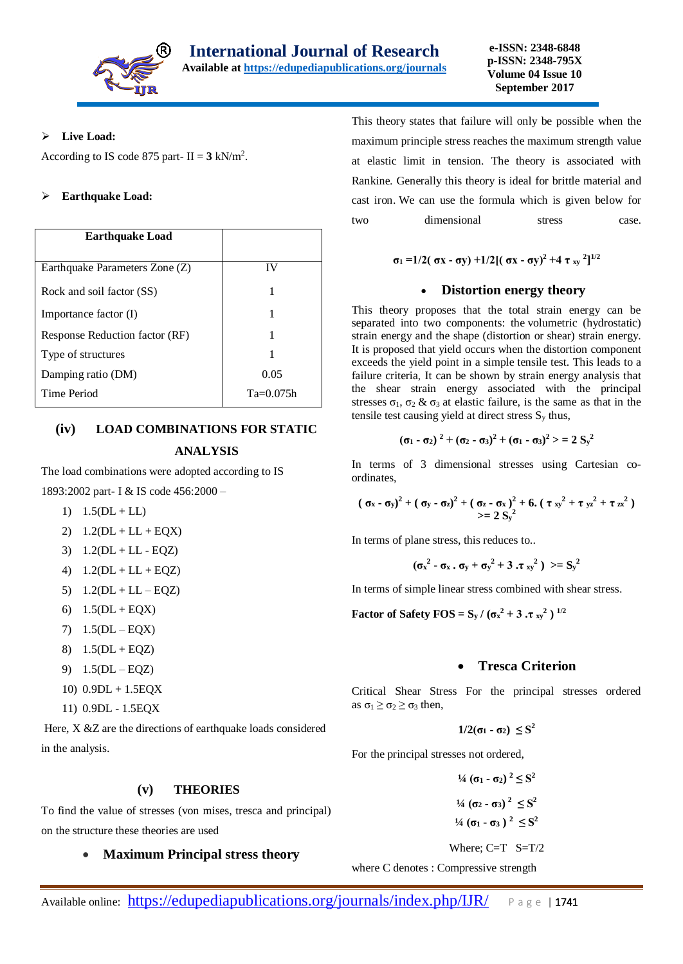

#### **Live Load:**

According to IS code 875 part-  $II = 3$  kN/m<sup>2</sup>.

#### **Earthquake Load:**

| <b>Earthquake Load</b>         |             |
|--------------------------------|-------------|
| Earthquake Parameters Zone (Z) | IV          |
| Rock and soil factor (SS)      | 1           |
| Importance factor (I)          |             |
| Response Reduction factor (RF) |             |
| Type of structures             |             |
| Damping ratio (DM)             | 0.05        |
| Time Period                    | $Ta=0.075h$ |

# **(iv) LOAD COMBINATIONS FOR STATIC ANALYSIS**

The load combinations were adopted according to IS 1893:2002 part- I & IS code 456:2000 –

- 1)  $1.5(DL + LL)$
- 2)  $1.2(DL + LL + EQX)$
- 3) 1.2(DL + LL EQZ)
- 4)  $1.2(DL + LL + EOZ)$
- 5)  $1.2(DL + LL EQZ)$
- 6)  $1.5(DL + EQX)$
- 7) 1.5(DL EQX)
- 8)  $1.5(DL + EQZ)$
- 9) 1.5(DL EQZ)
- 10) 0.9DL + 1.5EQX
- 11) 0.9DL 1.5EQX

Here, X &Z are the directions of earthquake loads considered in the analysis.

#### **(v) THEORIES**

To find the value of stresses (von mises, tresca and principal) on the structure these theories are used

#### **Maximum Principal stress theory**

This theory states that failure will only be possible when the maximum principle stress reaches the maximum strength value at elastic limit in tension. The theory is associated with Rankine. Generally this theory is ideal for brittle material and cast iron. We can use the formula which is given below for two dimensional stress case.

$$
\sigma_1 = 1/2(\sigma x - \sigma y) + 1/2[(\sigma x - \sigma y)^2 + 4 \tau_{xy}^2]^{1/2}
$$

### **Distortion energy theory**

This theory proposes that the total strain energy can be separated into two components: the volumetric (hydrostatic) strain energy and the shape (distortion or shear) strain energy. It is proposed that yield occurs when the distortion component exceeds the yield point in a simple tensile test. This leads to a failure criteria, It can be shown by strain energy analysis that the shear strain energy associated with the principal stresses  $\sigma_1$ ,  $\sigma_2$  &  $\sigma_3$  at elastic failure, is the same as that in the tensile test causing yield at direct stress  $S<sub>y</sub>$  thus,

$$
(\sigma_1 - \sigma_2)^2 + (\sigma_2 - \sigma_3)^2 + (\sigma_1 - \sigma_3)^2 > = 2 S_y^2
$$

In terms of 3 dimensional stresses using Cartesian coordinates,

$$
(\sigma_x - \sigma_y)^2 + (\sigma_y - \sigma_z)^2 + (\sigma_z - \sigma_x)^2 + 6. (\tau_{xy}^2 + \tau_{yz}^2 + \tau_{zx}^2)
$$
  
>= 2 S<sub>y</sub><sup>2</sup>

In terms of plane stress, this reduces to..

$$
(\sigma_x^2 - \sigma_x \cdot \sigma_y + \sigma_y^2 + 3 \cdot \tau_{xy}^2) \gt = S_y^2
$$

In terms of simple linear stress combined with shear stress.

**Factor of Safety FOS** =  $S_y$  / ( $\sigma_x^2 + 3 \cdot \sigma_{xy}^2$ ) <sup>1/2</sup>

#### **Tresca Criterion**

Critical Shear Stress For the principal stresses ordered as  $\sigma_1 \geq \sigma_2 \geq \sigma_3$  then,

**1/2(σ1 - σ**<sub>2</sub>)  $\leq$  **S**<sup>2</sup>

For the principal stresses not ordered,

**1**/<sub>4</sub> (**σ**<sub>1</sub> **- σ**<sub>2</sub>)<sup>2</sup> ≤  $S^2$ **1**/<sub>4</sub> (σ<sub>2</sub> **-** σ<sub>3</sub>)<sup>2</sup> ≤  $S$ <sup>2</sup> **1**/<sub>4</sub> (σ<sub>1</sub> **-** σ<sub>3</sub>)<sup>2</sup> ≤  $S$ <sup>2</sup>

Where; C=T S=T/2

where C denotes : Compressive strength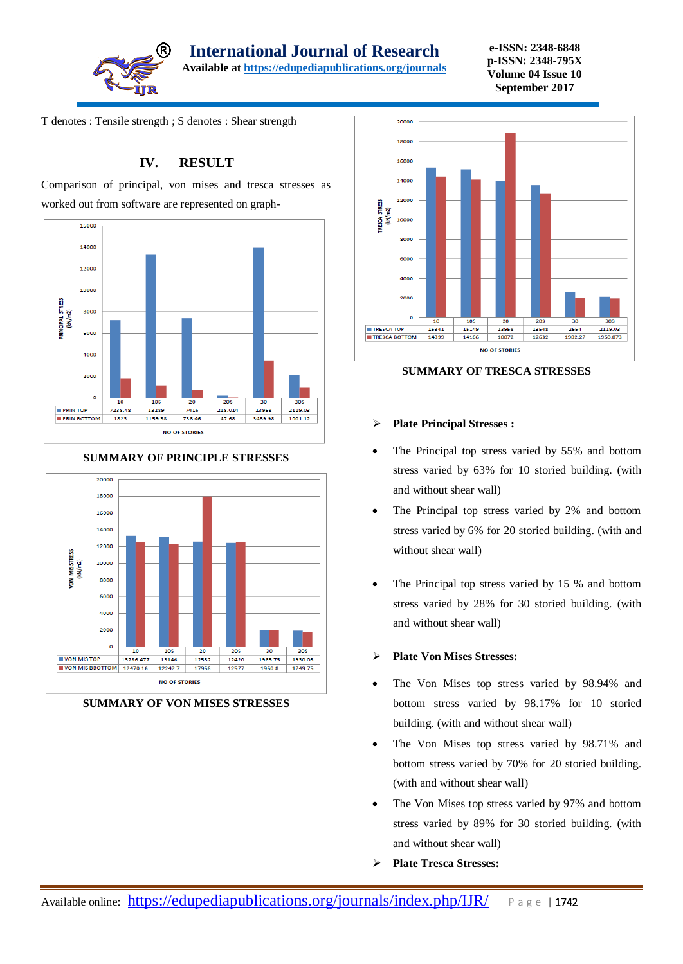

**International Journal of Research** 

**Available a[t https://edupediapublications.org/journals](https://edupediapublications.org/journals)**

**e-ISSN: 2348-6848 p-ISSN: 2348-795X Volume 04 Issue 10 September 2017**

T denotes : Tensile strength ; S denotes : Shear strength

# **IV. RESULT**

Comparison of principal, von mises and tresca stresses as worked out from software are represented on graph-





#### **SUMMARY OF PRINCIPLE STRESSES**

**SUMMARY OF VON MISES STRESSES**



**SUMMARY OF TRESCA STRESSES**

#### **Plate Principal Stresses :**

- The Principal top stress varied by 55% and bottom stress varied by 63% for 10 storied building. (with and without shear wall)
- The Principal top stress varied by 2% and bottom stress varied by 6% for 20 storied building. (with and without shear wall)
- The Principal top stress varied by 15 % and bottom stress varied by 28% for 30 storied building. (with and without shear wall)

#### **Plate Von Mises Stresses:**

- The Von Mises top stress varied by 98.94% and bottom stress varied by 98.17% for 10 storied building. (with and without shear wall)
- The Von Mises top stress varied by 98.71% and bottom stress varied by 70% for 20 storied building. (with and without shear wall)
- The Von Mises top stress varied by 97% and bottom stress varied by 89% for 30 storied building. (with and without shear wall)
- **Plate Tresca Stresses:**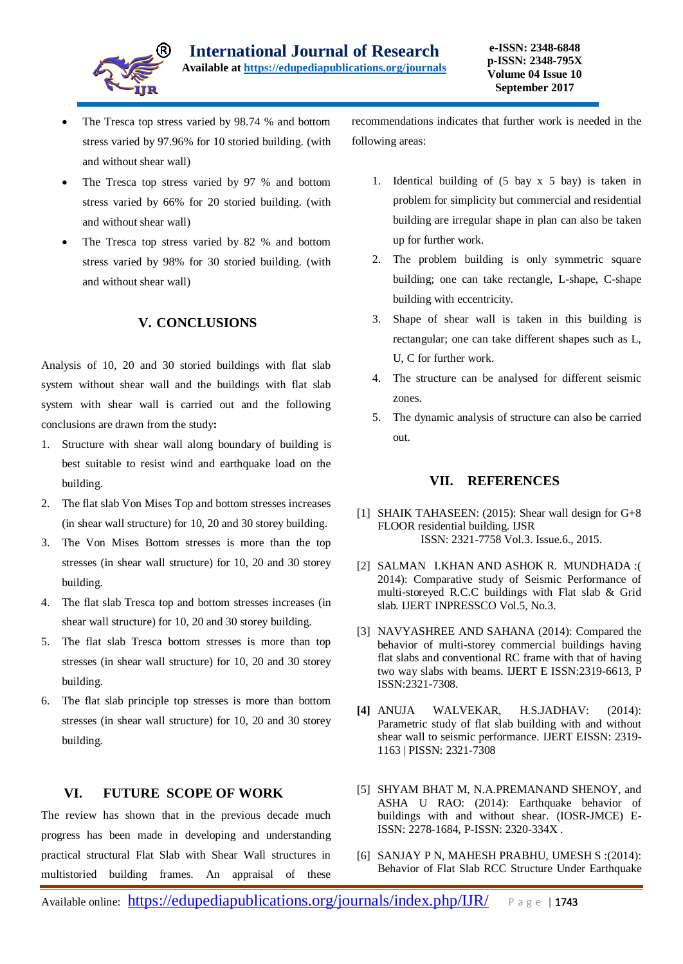

- The Tresca top stress varied by 98.74 % and bottom stress varied by 97.96% for 10 storied building. (with and without shear wall)
- The Tresca top stress varied by 97 % and bottom stress varied by 66% for 20 storied building. (with and without shear wall)
- The Tresca top stress varied by 82 % and bottom stress varied by 98% for 30 storied building. (with and without shear wall)

# **V. CONCLUSIONS**

Analysis of 10, 20 and 30 storied buildings with flat slab system without shear wall and the buildings with flat slab system with shear wall is carried out and the following conclusions are drawn from the study**:**

- 1. Structure with shear wall along boundary of building is best suitable to resist wind and earthquake load on the building.
- 2. The flat slab Von Mises Top and bottom stresses increases (in shear wall structure) for 10, 20 and 30 storey building.
- 3. The Von Mises Bottom stresses is more than the top stresses (in shear wall structure) for 10, 20 and 30 storey building.
- 4. The flat slab Tresca top and bottom stresses increases (in shear wall structure) for 10, 20 and 30 storey building.
- 5. The flat slab Tresca bottom stresses is more than top stresses (in shear wall structure) for 10, 20 and 30 storey building.
- 6. The flat slab principle top stresses is more than bottom stresses (in shear wall structure) for 10, 20 and 30 storey building.

# **VI. FUTURE SCOPE OF WORK**

The review has shown that in the previous decade much progress has been made in developing and understanding practical structural Flat Slab with Shear Wall structures in multistoried building frames. An appraisal of these recommendations indicates that further work is needed in the following areas:

- 1. Identical building of (5 bay x 5 bay) is taken in problem for simplicity but commercial and residential building are irregular shape in plan can also be taken up for further work.
- 2. The problem building is only symmetric square building; one can take rectangle, L-shape, C-shape building with eccentricity.
- 3. Shape of shear wall is taken in this building is rectangular; one can take different shapes such as L, U, C for further work.
- 4. The structure can be analysed for different seismic zones.
- 5. The dynamic analysis of structure can also be carried out.

#### **VII. REFERENCES**

- [1] SHAIK TAHASEEN: (2015): Shear wall design for G+8 FLOOR residential building. IJSR ISSN: 2321-7758 Vol.3. Issue.6., 2015.
- [2] SALMAN I.KHAN AND ASHOK R. MUNDHADA :( 2014): Comparative study of Seismic Performance of multi-storeyed R.C.C buildings with Flat slab & Grid slab*.* IJERT INPRESSCO Vol.5, No.3.
- [3] NAVYASHREE AND SAHANA (2014): Compared the behavior of multi-storey commercial buildings having flat slabs and conventional RC frame with that of having two way slabs with beams. IJERT E ISSN:2319-6613, P ISSN:2321-7308.
- **[4]** ANUJA WALVEKAR, H.S.JADHAV: (2014): Parametric study of flat slab building with and without shear wall to seismic performance. IJERT EISSN: 2319- 1163 | PISSN: 2321-7308
- [5] SHYAM BHAT M, N.A.PREMANAND SHENOY, and ASHA U RAO: (2014): Earthquake behavior of buildings with and without shear. (IOSR-JMCE) E-ISSN: 2278-1684, P-ISSN: 2320-334X .
- [6] SANJAY P N, MAHESH PRABHU, UMESH S :(2014): Behavior of Flat Slab RCC Structure Under Earthquake